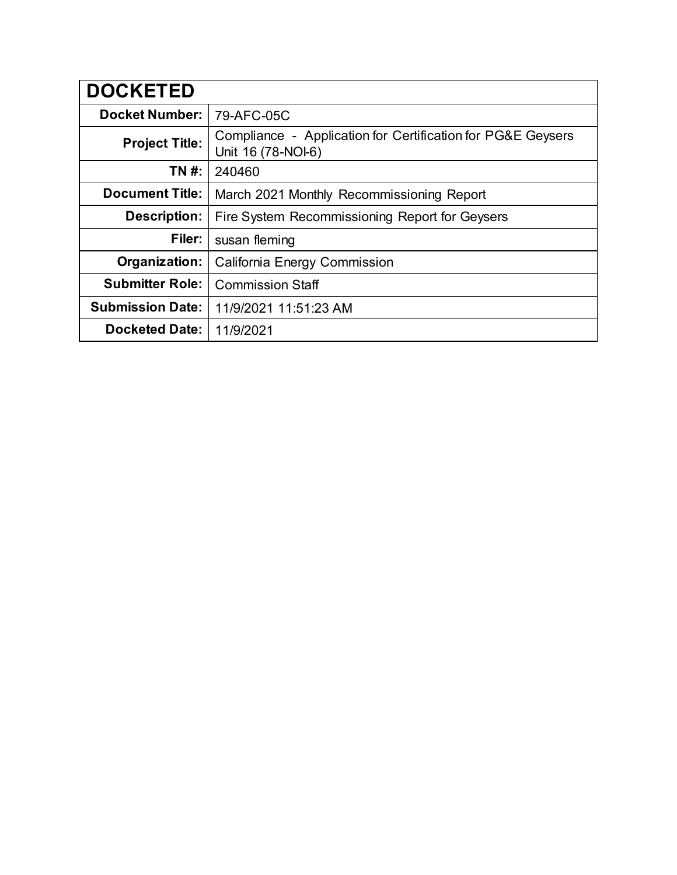| <b>DOCKETED</b>         |                                                                                   |
|-------------------------|-----------------------------------------------------------------------------------|
| <b>Docket Number:</b>   | 79-AFC-05C                                                                        |
| <b>Project Title:</b>   | Compliance - Application for Certification for PG&E Geysers<br>Unit 16 (78-NOI-6) |
| TN #:                   | 240460                                                                            |
| <b>Document Title:</b>  | March 2021 Monthly Recommissioning Report                                         |
| <b>Description:</b>     | Fire System Recommissioning Report for Geysers                                    |
| Filer:                  | susan fleming                                                                     |
| Organization:           | <b>California Energy Commission</b>                                               |
| <b>Submitter Role:</b>  | <b>Commission Staff</b>                                                           |
| <b>Submission Date:</b> | 11/9/2021 11:51:23 AM                                                             |
| <b>Docketed Date:</b>   | 11/9/2021                                                                         |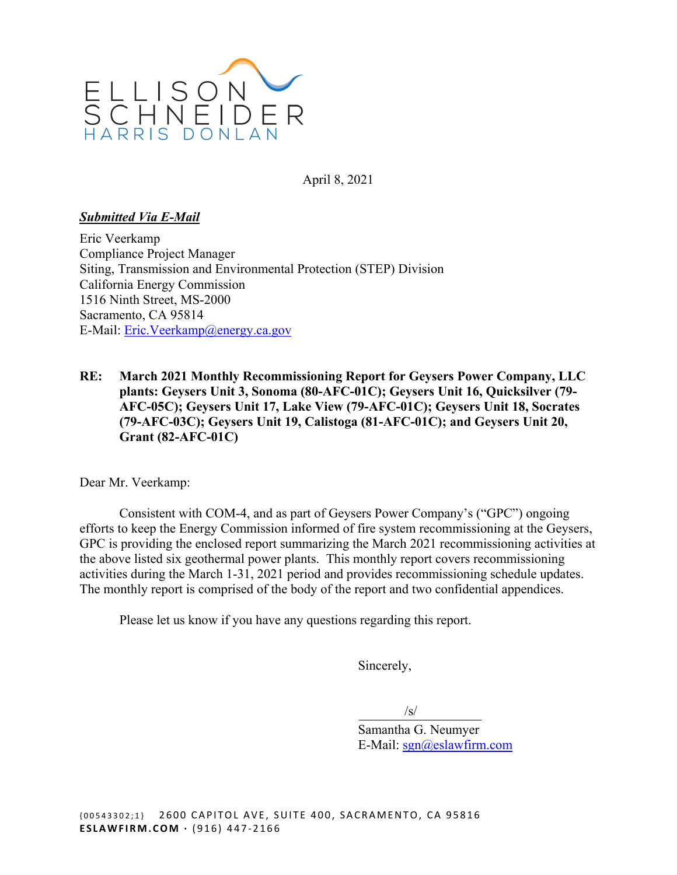

April 8, 2021

# *Submitted Via E-Mail*

Eric Veerkamp Compliance Project Manager Siting, Transmission and Environmental Protection (STEP) Division California Energy Commission 1516 Ninth Street, MS-2000 Sacramento, CA 95814 E-Mail: [Eric.Veerkamp@energy.ca.gov](mailto:Eric.Veerkamp@energy.ca.gov) 

**RE: March 2021 Monthly Recommissioning Report for Geysers Power Company, LLC plants: Geysers Unit 3, Sonoma (80-AFC-01C); Geysers Unit 16, Quicksilver (79- AFC-05C); Geysers Unit 17, Lake View (79-AFC-01C); Geysers Unit 18, Socrates (79-AFC-03C); Geysers Unit 19, Calistoga (81-AFC-01C); and Geysers Unit 20, Grant (82-AFC-01C)** 

Dear Mr. Veerkamp:

Consistent with COM-4, and as part of Geysers Power Company's ("GPC") ongoing efforts to keep the Energy Commission informed of fire system recommissioning at the Geysers, GPC is providing the enclosed report summarizing the March 2021 recommissioning activities at the above listed six geothermal power plants. This monthly report covers recommissioning activities during the March 1-31, 2021 period and provides recommissioning schedule updates. The monthly report is comprised of the body of the report and two confidential appendices.

Please let us know if you have any questions regarding this report.

Sincerely,

/s/

Samantha G. Neumyer E-Mail: [sgn@eslawfirm.com](mailto:sgn@eslawfirm.com)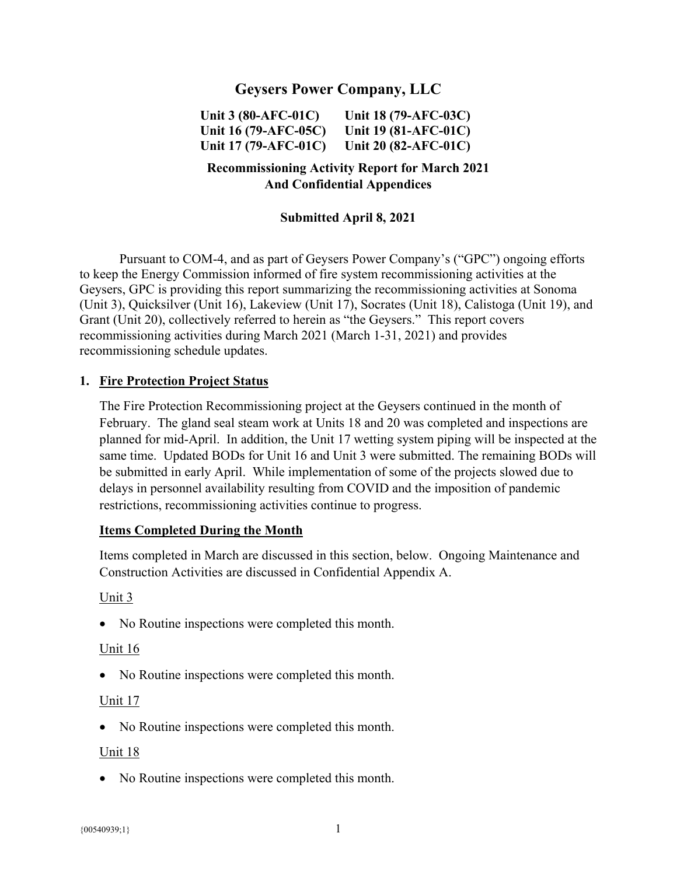# **Geysers Power Company, LLC**

**Unit 3 (80-AFC-01C) Unit 18 (79-AFC-03C) Unit 16 (79-AFC-05C) Unit 19 (81-AFC-01C) Unit 17 (79-AFC-01C) Unit 20 (82-AFC-01C)** 

# **Recommissioning Activity Report for March 2021 And Confidential Appendices**

# **Submitted April 8, 2021**

Pursuant to COM-4, and as part of Geysers Power Company's ("GPC") ongoing efforts to keep the Energy Commission informed of fire system recommissioning activities at the Geysers, GPC is providing this report summarizing the recommissioning activities at Sonoma (Unit 3), Quicksilver (Unit 16), Lakeview (Unit 17), Socrates (Unit 18), Calistoga (Unit 19), and Grant (Unit 20), collectively referred to herein as "the Geysers." This report covers recommissioning activities during March 2021 (March 1-31, 2021) and provides recommissioning schedule updates.

#### **1. Fire Protection Project Status**

The Fire Protection Recommissioning project at the Geysers continued in the month of February. The gland seal steam work at Units 18 and 20 was completed and inspections are planned for mid-April. In addition, the Unit 17 wetting system piping will be inspected at the same time. Updated BODs for Unit 16 and Unit 3 were submitted. The remaining BODs will be submitted in early April. While implementation of some of the projects slowed due to delays in personnel availability resulting from COVID and the imposition of pandemic restrictions, recommissioning activities continue to progress.

#### **Items Completed During the Month**

Items completed in March are discussed in this section, below. Ongoing Maintenance and Construction Activities are discussed in Confidential Appendix A.

#### Unit 3

• No Routine inspections were completed this month.

#### Unit 16

• No Routine inspections were completed this month.

#### Unit 17

• No Routine inspections were completed this month.

#### Unit 18

• No Routine inspections were completed this month.